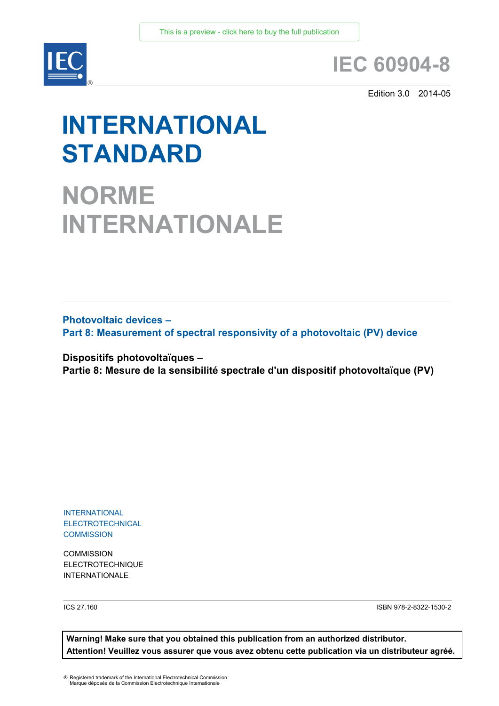

# **IEC 60904-8**

Edition 3.0 2014-05

# **INTERNATIONAL STANDARD**

**NORME INTERNATIONALE**

**Photovoltaic devices – Part 8: Measurement of spectral responsivity of a photovoltaic (PV) device**

**Dispositifs photovoltaïques – Partie 8: Mesure de la sensibilité spectrale d'un dispositif photovoltaïque (PV)**

INTERNATIONAL **ELECTROTECHNICAL COMMISSION** 

**COMMISSION** ELECTROTECHNIQUE INTERNATIONALE **S**

ICS 27.160

ISBN 978-2-8322-1530-2

**Warning! Make sure that you obtained this publication from an authorized distributor. Attention! Veuillez vous assurer que vous avez obtenu cette publication via un distributeur agréé.**

® Registered trademark of the International Electrotechnical Commission Marque déposée de la Commission Electrotechnique Internationale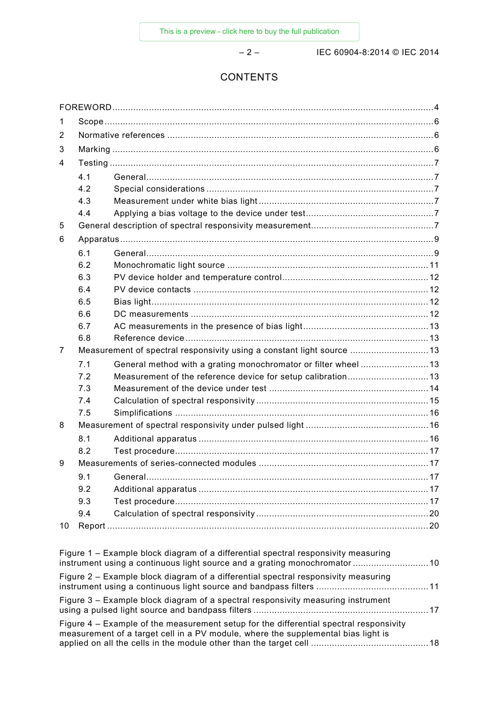– 2 – IEC 60904-8:2014 © IEC 2014

# **CONTENTS**

| 1                                                                                  |     |                                                                       |  |
|------------------------------------------------------------------------------------|-----|-----------------------------------------------------------------------|--|
| 2                                                                                  |     |                                                                       |  |
| 3                                                                                  |     |                                                                       |  |
| 4                                                                                  |     |                                                                       |  |
|                                                                                    | 4.1 |                                                                       |  |
|                                                                                    | 4.2 |                                                                       |  |
|                                                                                    | 4.3 |                                                                       |  |
|                                                                                    | 4.4 |                                                                       |  |
| 5                                                                                  |     |                                                                       |  |
| 6                                                                                  |     |                                                                       |  |
|                                                                                    | 6.1 |                                                                       |  |
|                                                                                    | 6.2 |                                                                       |  |
|                                                                                    | 6.3 |                                                                       |  |
|                                                                                    | 6.4 |                                                                       |  |
|                                                                                    | 6.5 |                                                                       |  |
|                                                                                    | 6.6 |                                                                       |  |
|                                                                                    | 6.7 |                                                                       |  |
|                                                                                    | 6.8 |                                                                       |  |
| 7                                                                                  |     | Measurement of spectral responsivity using a constant light source 13 |  |
|                                                                                    | 7.1 | General method with a grating monochromator or filter wheel13         |  |
|                                                                                    | 7.2 | Measurement of the reference device for setup calibration13           |  |
|                                                                                    | 7.3 |                                                                       |  |
|                                                                                    | 7.4 |                                                                       |  |
|                                                                                    | 7.5 |                                                                       |  |
| 8                                                                                  |     |                                                                       |  |
|                                                                                    | 8.1 |                                                                       |  |
|                                                                                    | 8.2 |                                                                       |  |
| 9                                                                                  |     |                                                                       |  |
|                                                                                    |     |                                                                       |  |
|                                                                                    | 9.2 |                                                                       |  |
|                                                                                    | 9.3 |                                                                       |  |
|                                                                                    | 9.4 |                                                                       |  |
| 10                                                                                 |     |                                                                       |  |
|                                                                                    |     |                                                                       |  |
| Figure 1 - Example block diagram of a differential spectral responsivity measuring |     |                                                                       |  |

| instrument using a continuous light source and a grating monochromator  10                                                                                                  |  |
|-----------------------------------------------------------------------------------------------------------------------------------------------------------------------------|--|
| Figure 2 – Example block diagram of a differential spectral responsivity measuring                                                                                          |  |
| Figure 3 – Example block diagram of a spectral responsivity measuring instrument                                                                                            |  |
| Figure 4 – Example of the measurement setup for the differential spectral responsivity<br>measurement of a target cell in a PV module, where the supplemental bias light is |  |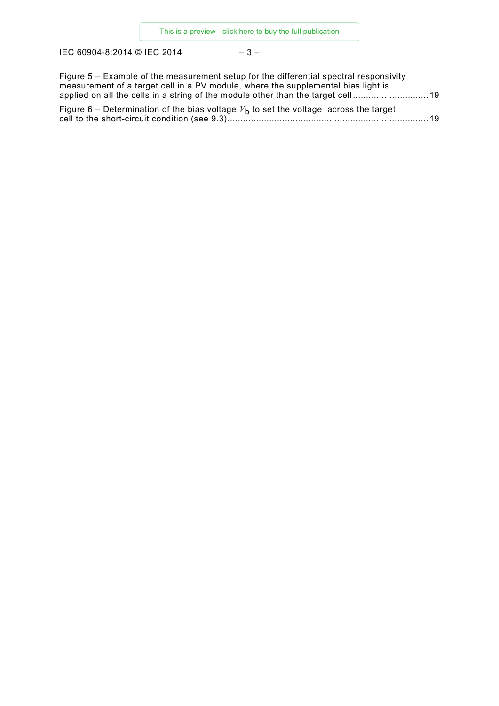IEC 60904-8:2014 © IEC 2014 – 3 –

| Figure 5 – Example of the measurement setup for the differential spectral responsivity |  |
|----------------------------------------------------------------------------------------|--|
| measurement of a target cell in a PV module, where the supplemental bias light is      |  |
| applied on all the cells in a string of the module other than the target cell19        |  |
| Figure 6 – Determination of the bias voltage $Vb$ to set the voltage across the target |  |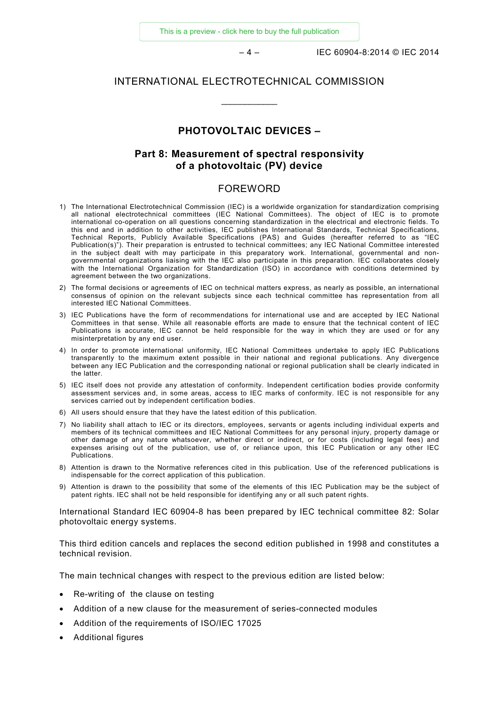[This is a preview - click here to buy the full publication](https://webstore.iec.ch/publication/3879&preview=1)

– 4 – IEC 60904-8:2014 © IEC 2014

# INTERNATIONAL ELECTROTECHNICAL COMMISSION

 $\overline{\phantom{a}}$ 

# **PHOTOVOLTAIC DEVICES –**

# **Part 8: Measurement of spectral responsivity of a photovoltaic (PV) device**

## FOREWORD

- <span id="page-3-0"></span>1) The International Electrotechnical Commission (IEC) is a worldwide organization for standardization comprising all national electrotechnical committees (IEC National Committees). The object of IEC is to promote international co-operation on all questions concerning standardization in the electrical and electronic fields. To this end and in addition to other activities, IEC publishes International Standards, Technical Specifications, Technical Reports, Publicly Available Specifications (PAS) and Guides (hereafter referred to as "IEC Publication(s)"). Their preparation is entrusted to technical committees; any IEC National Committee interested in the subject dealt with may participate in this preparatory work. International, governmental and nongovernmental organizations liaising with the IEC also participate in this preparation. IEC collaborates closely with the International Organization for Standardization (ISO) in accordance with conditions determined by agreement between the two organizations.
- 2) The formal decisions or agreements of IEC on technical matters express, as nearly as possible, an international consensus of opinion on the relevant subjects since each technical committee has representation from all interested IEC National Committees.
- 3) IEC Publications have the form of recommendations for international use and are accepted by IEC National Committees in that sense. While all reasonable efforts are made to ensure that the technical content of IEC Publications is accurate, IEC cannot be held responsible for the way in which they are used or for any misinterpretation by any end user.
- 4) In order to promote international uniformity, IEC National Committees undertake to apply IEC Publications transparently to the maximum extent possible in their national and regional publications. Any divergence between any IEC Publication and the corresponding national or regional publication shall be clearly indicated in the latter.
- 5) IEC itself does not provide any attestation of conformity. Independent certification bodies provide conformity assessment services and, in some areas, access to IEC marks of conformity. IEC is not responsible for any services carried out by independent certification bodies.
- 6) All users should ensure that they have the latest edition of this publication.
- 7) No liability shall attach to IEC or its directors, employees, servants or agents including individual experts and members of its technical committees and IEC National Committees for any personal injury, property damage or other damage of any nature whatsoever, whether direct or indirect, or for costs (including legal fees) and expenses arising out of the publication, use of, or reliance upon, this IEC Publication or any other IEC Publications.
- 8) Attention is drawn to the Normative references cited in this publication. Use of the referenced publications is indispensable for the correct application of this publication.
- 9) Attention is drawn to the possibility that some of the elements of this IEC Publication may be the subject of patent rights. IEC shall not be held responsible for identifying any or all such patent rights.

International Standard IEC 60904-8 has been prepared by IEC technical committee 82: Solar photovoltaic energy systems.

This third edition cancels and replaces the second edition published in 1998 and constitutes a technical revision.

The main technical changes with respect to the previous edition are listed below:

- Re-writing of the clause on testing
- Addition of a new clause for the measurement of series-connected modules
- Addition of the requirements of ISO/IEC 17025
- Additional figures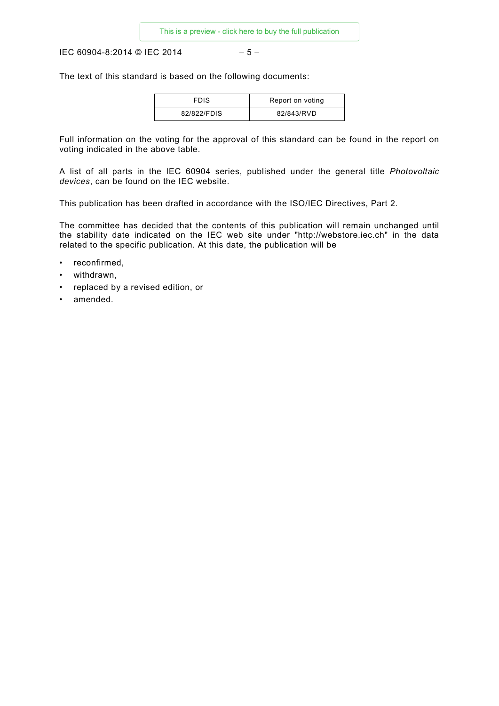IEC 60904-8:2014 © IEC 2014 – 5 –

The text of this standard is based on the following documents:

| <b>FDIS</b> | Report on voting |
|-------------|------------------|
| 82/822/FDIS | 82/843/RVD       |

Full information on the voting for the approval of this standard can be found in the report on voting indicated in the above table.

A list of all parts in the IEC 60904 series, published under the general title *Photovoltaic devices*, can be found on the IEC website.

This publication has been drafted in accordance with the ISO/IEC Directives, Part 2.

The committee has decided that the contents of this publication will remain unchanged until the stability date indicated on the IEC web site under "http://webstore.iec.ch" in the data related to the specific publication. At this date, the publication will be

- reconfirmed,
- withdrawn,
- replaced by a revised edition, or
- amended.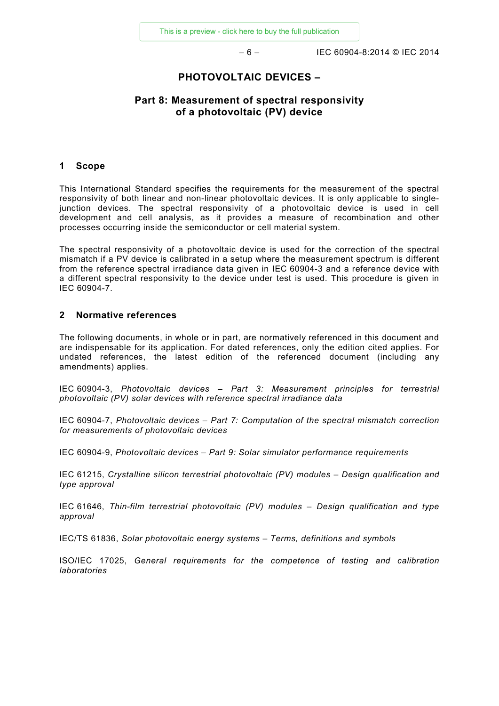– 6 – IEC 60904-8:2014 © IEC 2014

# **PHOTOVOLTAIC DEVICES –**

# **Part 8: Measurement of spectral responsivity of a photovoltaic (PV) device**

#### <span id="page-5-0"></span>**1 Scope**

This International Standard specifies the requirements for the measurement of the spectral responsivity of both linear and non-linear photovoltaic devices. It is only applicable to singlejunction devices. The spectral responsivity of a photovoltaic device is used in cell development and cell analysis, as it provides a measure of recombination and other processes occurring inside the semiconductor or cell material system.

The spectral responsivity of a photovoltaic device is used for the correction of the spectral mismatch if a PV device is calibrated in a setup where the measurement spectrum is different from the reference spectral irradiance data given in IEC 60904-3 and a reference device with a different spectral responsivity to the device under test is used. This procedure is given in IEC 60904-7.

#### <span id="page-5-1"></span>**2 Normative references**

The following documents, in whole or in part, are normatively referenced in this document and are indispensable for its application. For dated references, only the edition cited applies. For undated references, the latest edition of the referenced document (including any amendments) applies.

IEC 60904-3, *Photovoltaic devices – Part 3: Measurement principles for terrestrial photovoltaic (PV) solar devices with reference spectral irradiance data*

IEC 60904-7, *Photovoltaic devices – Part 7: Computation of the spectral mismatch correction for measurements of photovoltaic devices*

IEC 60904-9, *Photovoltaic devices – Part 9: Solar simulator performance requirements*

IEC 61215, *Crystalline silicon terrestrial photovoltaic (PV) modules – Design qualification and type approval*

IEC 61646, *Thin-film terrestrial photovoltaic (PV) modules – Design qualification and type approval*

IEC/TS 61836, *Solar photovoltaic energy systems – Terms, definitions and symbols*

<span id="page-5-2"></span>ISO/IEC 17025, *General requirements for the competence of testing and calibration laboratories*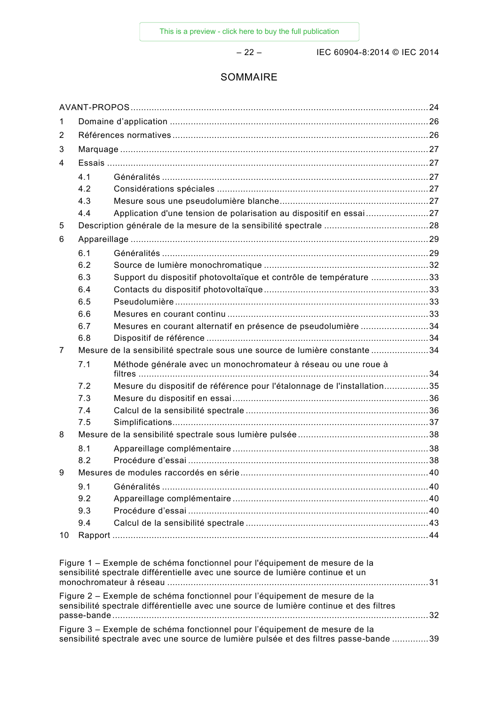– 22 – IEC 60904-8:2014 © IEC 2014

# SOMMAIRE

| 1                                                                                       |     |                                                                                                                                                                     |  |
|-----------------------------------------------------------------------------------------|-----|---------------------------------------------------------------------------------------------------------------------------------------------------------------------|--|
| 2                                                                                       |     |                                                                                                                                                                     |  |
| 3                                                                                       |     |                                                                                                                                                                     |  |
| 4                                                                                       |     |                                                                                                                                                                     |  |
|                                                                                         | 4.1 |                                                                                                                                                                     |  |
|                                                                                         | 4.2 |                                                                                                                                                                     |  |
|                                                                                         | 4.3 |                                                                                                                                                                     |  |
|                                                                                         | 4.4 | Application d'une tension de polarisation au dispositif en essai 27                                                                                                 |  |
| 5                                                                                       |     |                                                                                                                                                                     |  |
| 6                                                                                       |     |                                                                                                                                                                     |  |
|                                                                                         | 6.1 |                                                                                                                                                                     |  |
|                                                                                         | 6.2 |                                                                                                                                                                     |  |
|                                                                                         | 6.3 | Support du dispositif photovoltaïque et contrôle de température 33                                                                                                  |  |
|                                                                                         | 6.4 |                                                                                                                                                                     |  |
|                                                                                         | 6.5 |                                                                                                                                                                     |  |
|                                                                                         | 6.6 |                                                                                                                                                                     |  |
|                                                                                         | 6.7 | Mesures en courant alternatif en présence de pseudolumière 34                                                                                                       |  |
|                                                                                         | 6.8 |                                                                                                                                                                     |  |
| 7                                                                                       |     | Mesure de la sensibilité spectrale sous une source de lumière constante 34                                                                                          |  |
|                                                                                         | 7.1 | Méthode générale avec un monochromateur à réseau ou une roue à                                                                                                      |  |
|                                                                                         | 7.2 | Mesure du dispositif de référence pour l'étalonnage de l'installation35                                                                                             |  |
|                                                                                         | 7.3 |                                                                                                                                                                     |  |
|                                                                                         | 7.4 |                                                                                                                                                                     |  |
|                                                                                         | 7.5 |                                                                                                                                                                     |  |
| 8                                                                                       |     |                                                                                                                                                                     |  |
|                                                                                         | 8.1 |                                                                                                                                                                     |  |
|                                                                                         | 8.2 |                                                                                                                                                                     |  |
| 9                                                                                       |     |                                                                                                                                                                     |  |
|                                                                                         | 9.1 |                                                                                                                                                                     |  |
|                                                                                         | 9.2 |                                                                                                                                                                     |  |
|                                                                                         | 9.3 |                                                                                                                                                                     |  |
|                                                                                         | 9.4 |                                                                                                                                                                     |  |
| 10                                                                                      |     |                                                                                                                                                                     |  |
|                                                                                         |     | Figure 1 – Exemple de schéma fonctionnel pour l'équipement de mesure de la<br>sensibilité spectrale différentielle avec une source de lumière continue et un        |  |
|                                                                                         |     | Figure 2 – Exemple de schéma fonctionnel pour l'équipement de mesure de la                                                                                          |  |
| sensibilité spectrale différentielle avec une source de lumière continue et des filtres |     |                                                                                                                                                                     |  |
|                                                                                         |     |                                                                                                                                                                     |  |
|                                                                                         |     | Figure 3 – Exemple de schéma fonctionnel pour l'équipement de mesure de la<br>sensibilité spectrale avec une source de lumière pulsée et des filtres passe-bande 39 |  |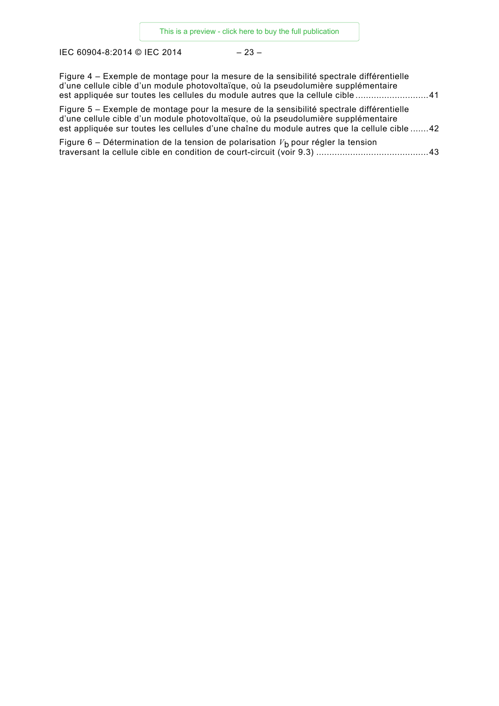IEC 60904-8:2014 © IEC 2014 – 23 –

| Figure 4 – Exemple de montage pour la mesure de la sensibilité spectrale différentielle<br>d'une cellule cible d'un module photovoltaïque, où la pseudolumière supplémentaire<br>est appliquée sur toutes les cellules du module autres que la cellule cible 41              |  |
|------------------------------------------------------------------------------------------------------------------------------------------------------------------------------------------------------------------------------------------------------------------------------|--|
| Figure 5 – Exemple de montage pour la mesure de la sensibilité spectrale différentielle<br>d'une cellule cible d'un module photovoltaïque, où la pseudolumière supplémentaire<br>est appliquée sur toutes les cellules d'une chaîne du module autres que la cellule cible 42 |  |
| Figure 6 – Détermination de la tension de polarisation $Vb$ pour régler la tension                                                                                                                                                                                           |  |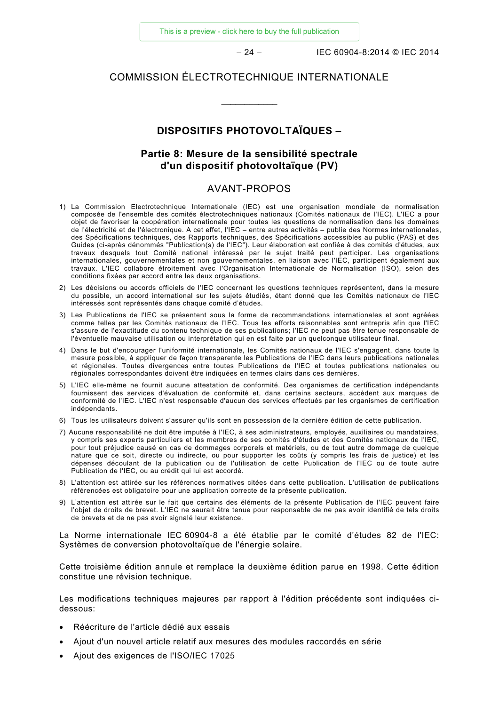[This is a preview - click here to buy the full publication](https://webstore.iec.ch/publication/3879&preview=1)

– 24 – IEC 60904-8:2014 © IEC 2014

# COMMISSION ÉLECTROTECHNIQUE INTERNATIONALE

\_\_\_\_\_\_\_\_\_\_\_\_

# **DISPOSITIFS PHOTOVOLTAÏQUES –**

# **Partie 8: Mesure de la sensibilité spectrale d'un dispositif photovoltaïque (PV)**

# AVANT-PROPOS

- <span id="page-8-0"></span>1) La Commission Electrotechnique Internationale (IEC) est une organisation mondiale de normalisation composée de l'ensemble des comités électrotechniques nationaux (Comités nationaux de l'IEC). L'IEC a pour objet de favoriser la coopération internationale pour toutes les questions de normalisation dans les domaines de l'électricité et de l'électronique. A cet effet, l'IEC – entre autres activités – publie des Normes internationales, des Spécifications techniques, des Rapports techniques, des Spécifications accessibles au public (PAS) et des Guides (ci-après dénommés "Publication(s) de l'IEC"). Leur élaboration est confiée à des comités d'études, aux travaux desquels tout Comité national intéressé par le sujet traité peut participer. Les organisations internationales, gouvernementales et non gouvernementales, en liaison avec l'IEC, participent également aux travaux. L'IEC collabore étroitement avec l'Organisation Internationale de Normalisation (ISO), selon des conditions fixées par accord entre les deux organisations.
- 2) Les décisions ou accords officiels de l'IEC concernant les questions techniques représentent, dans la mesure du possible, un accord international sur les sujets étudiés, étant donné que les Comités nationaux de l'IEC intéressés sont représentés dans chaque comité d'études.
- 3) Les Publications de l'IEC se présentent sous la forme de recommandations internationales et sont agréées comme telles par les Comités nationaux de l'IEC. Tous les efforts raisonnables sont entrepris afin que l'IEC s'assure de l'exactitude du contenu technique de ses publications; l'IEC ne peut pas être tenue responsable de l'éventuelle mauvaise utilisation ou interprétation qui en est faite par un quelconque utilisateur final.
- 4) Dans le but d'encourager l'uniformité internationale, les Comités nationaux de l'IEC s'engagent, dans toute la mesure possible, à appliquer de façon transparente les Publications de l'IEC dans leurs publications nationales et régionales. Toutes divergences entre toutes Publications de l'IEC et toutes publications nationales ou régionales correspondantes doivent être indiquées en termes clairs dans ces dernières.
- 5) L'IEC elle-même ne fournit aucune attestation de conformité. Des organismes de certification indépendants fournissent des services d'évaluation de conformité et, dans certains secteurs, accèdent aux marques de conformité de l'IEC. L'IEC n'est responsable d'aucun des services effectués par les organismes de certification indépendants.
- 6) Tous les utilisateurs doivent s'assurer qu'ils sont en possession de la dernière édition de cette publication.
- 7) Aucune responsabilité ne doit être imputée à l'IEC, à ses administrateurs, employés, auxiliaires ou mandataires, y compris ses experts particuliers et les membres de ses comités d'études et des Comités nationaux de l'IEC, pour tout préjudice causé en cas de dommages corporels et matériels, ou de tout autre dommage de quelque nature que ce soit, directe ou indirecte, ou pour supporter les coûts (y compris les frais de justice) et les dépenses découlant de la publication ou de l'utilisation de cette Publication de l'IEC ou de toute autre Publication de l'IEC, ou au crédit qui lui est accordé.
- 8) L'attention est attirée sur les références normatives citées dans cette publication. L'utilisation de publications référencées est obligatoire pour une application correcte de la présente publication.
- 9) L'attention est attirée sur le fait que certains des éléments de la présente Publication de l'IEC peuvent faire l'objet de droits de brevet. L'IEC ne saurait être tenue pour responsable de ne pas avoir identifié de tels droits de brevets et de ne pas avoir signalé leur existence.

La Norme internationale IEC 60904-8 a été établie par le comité d'études 82 de l'IEC: Systèmes de conversion photovoltaïque de l'énergie solaire.

Cette troisième édition annule et remplace la deuxième édition parue en 1998. Cette édition constitue une révision technique.

Les modifications techniques majeures par rapport à l'édition précédente sont indiquées cidessous:

- Réécriture de l'article dédié aux essais
- Ajout d'un nouvel article relatif aux mesures des modules raccordés en série
- Ajout des exigences de l'ISO/IEC 17025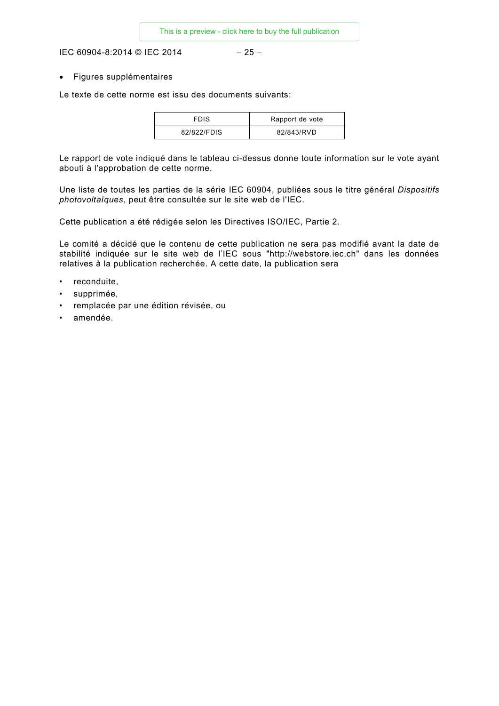IEC 60904-8:2014 © IEC 2014 – 25 –

• Figures supplémentaires

Le texte de cette norme est issu des documents suivants:

| FDIS        | Rapport de vote |
|-------------|-----------------|
| 82/822/FDIS | 82/843/RVD      |

Le rapport de vote indiqué dans le tableau ci-dessus donne toute information sur le vote ayant abouti à l'approbation de cette norme.

Une liste de toutes les parties de la série IEC 60904, publiées sous le titre général *Dispositifs photovoltaïques*, peut être consultée sur le site web de l'IEC.

Cette publication a été rédigée selon les Directives ISO/IEC, Partie 2.

Le comité a décidé que le contenu de cette publication ne sera pas modifié avant la date de stabilité indiquée sur le site web de l'IEC sous "http://webstore.iec.ch" dans les données relatives à la publication recherchée. A cette date, la publication sera

- reconduite,
- supprimée,
- remplacée par une édition révisée, ou
- amendée.